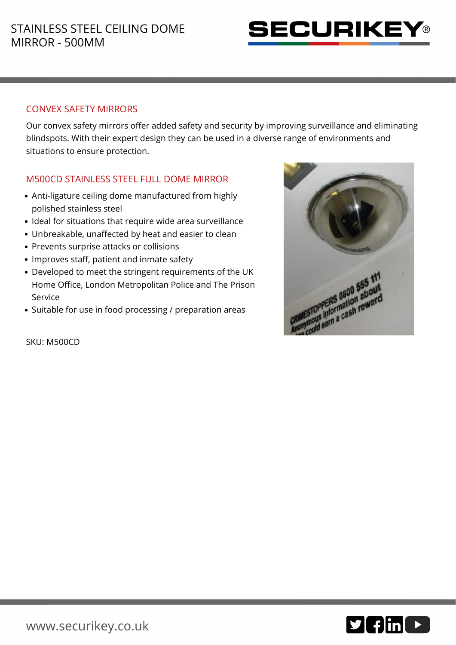

## CONVEX SAFETY MIRRORS

Our convex safety mirrors offer added safety and security by improving surveillance and eliminating blindspots. With their expert design they can be used in a diverse range of environments and situations to ensure protection.

## M500CD STAINLESS STEEL FULL DOME MIRROR

- Anti-ligature ceiling dome manufactured from highly polished stainless steel
- Ideal for situations that require wide area surveillance
- Unbreakable, unaffected by heat and easier to clean
- Prevents surprise attacks or collisions
- Improves staff, patient and inmate safety
- Developed to meet the stringent requirements of the UK Home Office, London Metropolitan Police and The Prison Service
- Suitable for use in food processing / preparation areas



SKU: M500CD

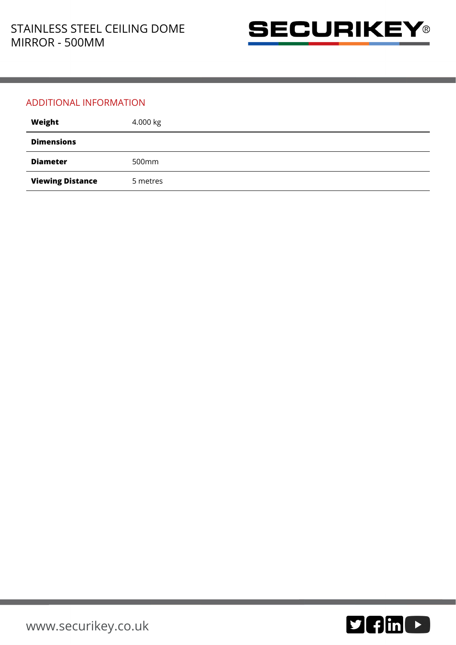

## ADDITIONAL INFORMATION

| Weight                  | 4.000 kg          |
|-------------------------|-------------------|
| <b>Dimensions</b>       |                   |
| <b>Diameter</b>         | 500 <sub>mm</sub> |
| <b>Viewing Distance</b> | 5 metres          |

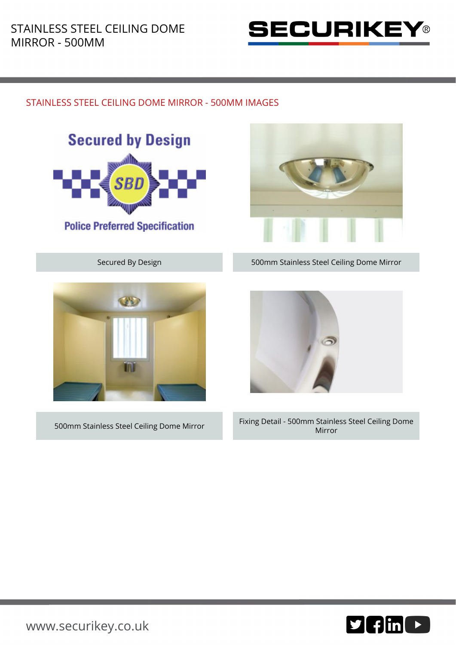

## STAINLESS STEEL CEILING DOME MIRROR - 500MM IMAGES







Secured By Design 500mm Stainless Steel Ceiling Dome Mirror



500mm Stainless Steel Ceiling Dome Mirror Fixing Detail - 500mm Stainless Steel Ceiling Dome Mirror